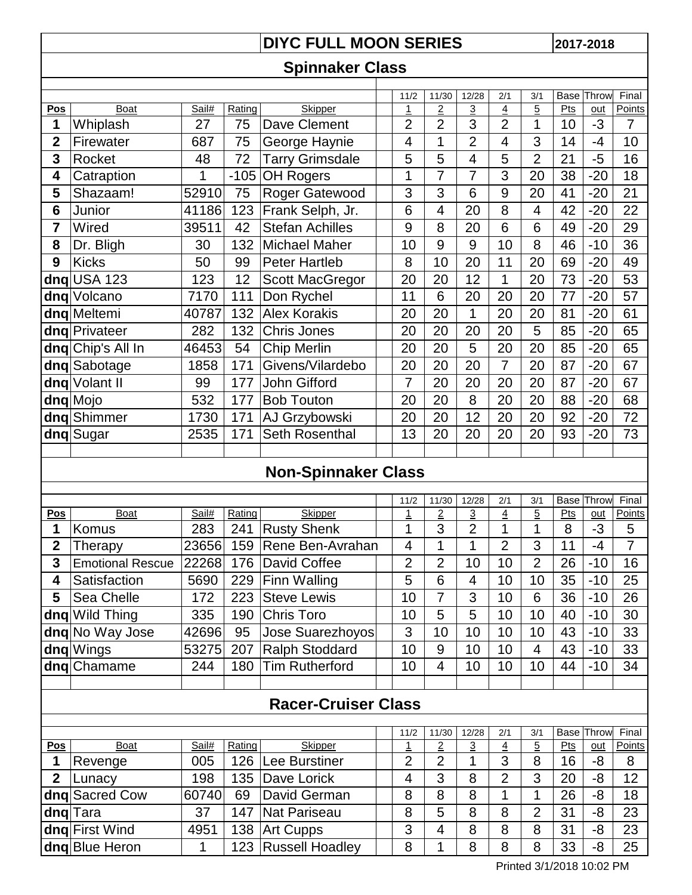## **DIYC FULL MOON SERIES** 2017-2018

## **Spinnaker Class**

|                |                   |       |        |                        | 11/2           | 11/30          | 12/28          | 2/1            | 3/1            | Base | Throw | Final  |
|----------------|-------------------|-------|--------|------------------------|----------------|----------------|----------------|----------------|----------------|------|-------|--------|
| Pos            | Boat              | Sail# | Rating | Skipper                | <u>1</u>       | $\overline{2}$ | 3              | $\overline{4}$ | $\overline{5}$ | Pts  | $out$ | Points |
| 1              | Whiplash          | 27    | 75     | Dave Clement           | $\overline{2}$ | $\overline{2}$ | 3              | $\overline{2}$ | 1              | 10   | $-3$  | 7      |
| $\overline{2}$ | Firewater         | 687   | 75     | George Haynie          | 4              | 1              | $\overline{2}$ | 4              | 3              | 14   | -4    | 10     |
| 3              | Rocket            | 48    | 72     | <b>Tarry Grimsdale</b> | 5              | 5              | 4              | 5              | $\overline{2}$ | 21   | -5    | 16     |
| 4              | Catraption        | 1     | $-105$ | <b>OH Rogers</b>       | 1              | 7              | 7              | 3              | 20             | 38   | $-20$ | 18     |
| 5              | Shazaam!          | 52910 | 75     | Roger Gatewood         | 3              | 3              | 6              | 9              | 20             | 41   | $-20$ | 21     |
| 6              | Junior            | 41186 | 123    | Frank Selph, Jr.       | 6              | 4              | 20             | 8              | 4              | 42   | $-20$ | 22     |
| $\overline{7}$ | Wired             | 39511 | 42     | <b>Stefan Achilles</b> | 9              | 8              | 20             | 6              | 6              | 49   | $-20$ | 29     |
| 8              | Dr. Bligh         | 30    | 132    | <b>Michael Maher</b>   | 10             | 9              | 9              | 10             | 8              | 46   | $-10$ | 36     |
| 9              | <b>Kicks</b>      | 50    | 99     | <b>Peter Hartleb</b>   | 8              | 10             | 20             | 11             | 20             | 69   | $-20$ | 49     |
|                | $dnq$ USA 123     | 123   | 12     | <b>Scott MacGregor</b> | 20             | 20             | 12             | 1              | 20             | 73   | $-20$ | 53     |
|                | dng Volcano       | 7170  | 111    | Don Rychel             | 11             | 6              | 20             | 20             | 20             | 77   | $-20$ | 57     |
|                | dnq Meltemi       | 40787 | 132    | <b>Alex Korakis</b>    | 20             | 20             | 1              | 20             | 20             | 81   | $-20$ | 61     |
|                | dng Privateer     | 282   | 132    | <b>Chris Jones</b>     | 20             | 20             | 20             | 20             | 5              | 85   | $-20$ | 65     |
|                | dnq Chip's All In | 46453 | 54     | <b>Chip Merlin</b>     | 20             | 20             | 5              | 20             | 20             | 85   | $-20$ | 65     |
|                | dnq Sabotage      | 1858  | 171    | Givens/Vilardebo       | 20             | 20             | 20             | 7              | 20             | 87   | $-20$ | 67     |
|                | dnq Volant II     | 99    | 177    | John Gifford           | 7              | 20             | 20             | 20             | 20             | 87   | $-20$ | 67     |
|                | dnq Mojo          | 532   | 177    | <b>Bob Touton</b>      | 20             | 20             | 8              | 20             | 20             | 88   | $-20$ | 68     |
|                | dng Shimmer       | 1730  | 171    | AJ Grzybowski          | 20             | 20             | 12             | 20             | 20             | 92   | $-20$ | 72     |
|                | dng Sugar         | 2535  | 171    | Seth Rosenthal         | 13             | 20             | 20             | 20             | 20             | 93   | $-20$ | 73     |
|                |                   |       |        |                        |                |                |                |                |                |      |       |        |

## **Non-Spinnaker Class**

|                            |                         |       |        |                       | 11/2           | 11/30          | 12/28          | 2/1            | 3/1            | Base | Throw | Final         |
|----------------------------|-------------------------|-------|--------|-----------------------|----------------|----------------|----------------|----------------|----------------|------|-------|---------------|
| <b>Pos</b>                 | Boat                    | Sail# | Rating | <b>Skipper</b>        |                | $\overline{2}$ | $\overline{3}$ | $\overline{4}$ | $\overline{5}$ | Pts  | out   | Points        |
| 1                          | Komus                   | 283   | 241    | <b>Rusty Shenk</b>    | 1              | 3              | $\overline{2}$ | 1              | 1              | 8    | $-3$  | 5             |
| $\overline{2}$             | Therapy                 | 23656 | 159    | Rene Ben-Avrahan      | 4              | 1              | 1              | $\overline{2}$ | 3              | 11   | -4    | 7             |
| 3                          | <b>Emotional Rescue</b> | 22268 | 176    | David Coffee          | 2              | $\overline{2}$ | 10             | 10             | $\overline{2}$ | 26   | $-10$ | 16            |
| 4                          | Satisfaction            | 5690  | 229    | Finn Walling          | 5              | 6              | 4              | 10             | 10             | 35   | $-10$ | 25            |
| 5                          | Sea Chelle              | 172   | 223    | <b>Steve Lewis</b>    | 10             | 7              | 3              | 10             | 6              | 36   | $-10$ | 26            |
|                            | dng Wild Thing          | 335   | 190    | <b>Chris Toro</b>     | 10             | 5              | 5              | 10             | 10             | 40   | $-10$ | 30            |
|                            | dng No Way Jose         | 42696 | 95     | Jose Suarezhoyos      | 3              | 10             | 10             | 10             | 10             | 43   | $-10$ | 33            |
|                            | dng Wings               | 53275 | 207    | <b>Ralph Stoddard</b> | 10             | 9              | 10             | 10             | 4              | 43   | $-10$ | 33            |
|                            | dng Chamame             | 244   | 180    | <b>Tim Rutherford</b> | 10             | 4              | 10             | 10             | 10             | 44   | $-10$ | 34            |
|                            |                         |       |        |                       |                |                |                |                |                |      |       |               |
| <b>Racer-Cruiser Class</b> |                         |       |        |                       |                |                |                |                |                |      |       |               |
|                            |                         |       |        |                       |                |                |                |                |                |      |       |               |
|                            |                         |       |        |                       | 11/2           | 11/30          | 12/28          | 2/1            | 3/1            | Base | Throw | Final         |
| <u>Pos</u>                 | <b>Boat</b>             | Sail# | Rating | <b>Skipper</b>        | <u>1</u>       | 2              | <u>3</u>       | <u>4</u>       | 5              | Pts  | out   | <b>Points</b> |
|                            | Revenge                 | 005   | 126    | Lee Burstiner         | $\overline{2}$ | $\overline{2}$ | 1              | 3              | 8              | 16   | -8    | 8             |
| $\mathbf{2}$               | Lunacy                  | 198   | 135    | Dave Lorick           | 4              | 3              | 8              | $\overline{2}$ | 3              | 20   | -8    | 12            |
| dnq                        | <b>Sacred Cow</b>       | 60740 | 69     | David German          | 8              | 8              | 8              | 1              | 1              | 26   | -8    | 18            |
|                            | dng Tara                | 37    | 147    | <b>Nat Pariseau</b>   | 8              | 5              | 8              | 8              | $\overline{2}$ | 31   | -8    | 23            |
|                            | dng First Wind          | 4951  | 138    | <b>Art Cupps</b>      | 3              | 4              | 8              | 8              | 8              | 31   | -8    | 23            |

**dnq** Blue Heron 1 1 123 Russell Hoadley 8 1 8 8 8 33 -8 25

138 Art Cupps 3 4 8 8 8 31 -8

Printed 3/1/2018 10:02 PM